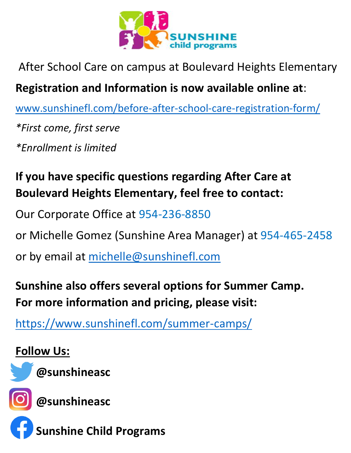

#### After School Care on campus at Boulevard Heights Elementary

#### **Registration and Information is now available online at**:

[www.sunshinefl.com/before-after-school-care-registration-form/](http://www.sunshinefl.com/before-after-school-care-registration-form/)

*\*First come, first serve*

*\*Enrollment is limited* 

## **If you have specific questions regarding After Care at Boulevard Heights Elementary, feel free to contact:**

Our Corporate Office at 954-236-8850

or Michelle Gomez (Sunshine Area Manager) at 954-465-2458

or by email at [michelle@sunshinefl.com](mailto:michelle@sunshinefl.com) 

## **Sunshine also offers several options for Summer Camp. For more information and pricing, please visit:**

<https://www.sunshinefl.com/summer-camps/>

#### **Follow Us:**



**@sunshineasc**